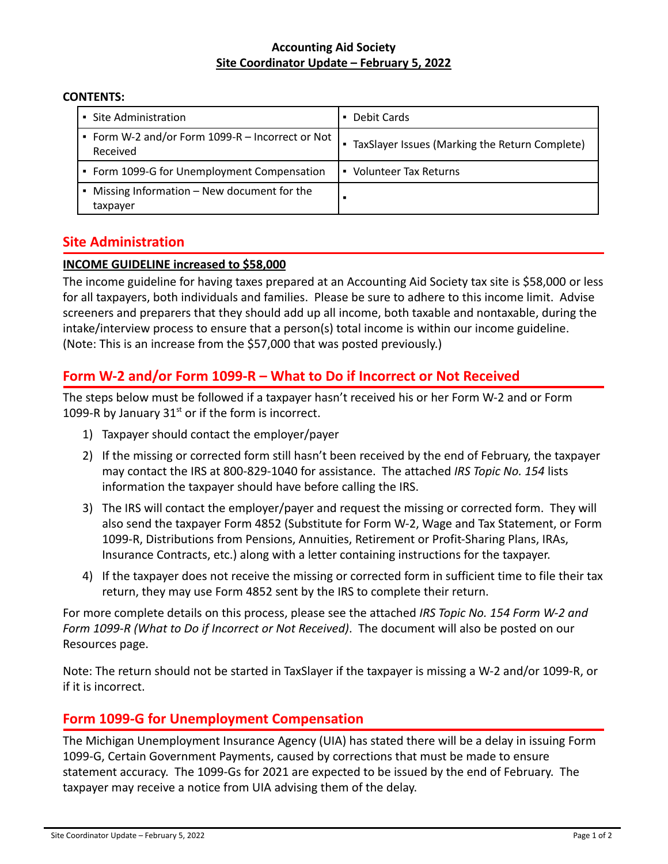#### **Accounting Aid Society Site Coordinator Update – February 5, 2022**

#### **CONTENTS:**

| • Site Administration                                                    | Debit Cards                                    |
|--------------------------------------------------------------------------|------------------------------------------------|
| • Form W-2 and/or Form 1099-R - Incorrect or Not<br>Received             | TaxSlayer Issues (Marking the Return Complete) |
| • Form 1099-G for Unemployment Compensation                              | Volunteer Tax Returns<br>$\blacksquare$        |
| Missing Information - New document for the<br>$\blacksquare$<br>taxpayer |                                                |

# **Site Administration**

### **INCOME GUIDELINE increased to \$58,000**

The income guideline for having taxes prepared at an Accounting Aid Society tax site is \$58,000 or less for all taxpayers, both individuals and families. Please be sure to adhere to this income limit. Advise screeners and preparers that they should add up all income, both taxable and nontaxable, during the intake/interview process to ensure that a person(s) total income is within our income guideline. (Note: This is an increase from the \$57,000 that was posted previously.)

# **Form W-2 and/or Form 1099-R – What to Do if Incorrect or Not Received**

The steps below must be followed if a taxpayer hasn't received his or her Form W-2 and or Form 1099-R by January  $31<sup>st</sup>$  or if the form is incorrect.

- 1) Taxpayer should contact the employer/payer
- 2) If the missing or corrected form still hasn't been received by the end of February, the taxpayer may contact the IRS at 800-829-1040 for assistance. The attached *IRS Topic No. 154* lists information the taxpayer should have before calling the IRS.
- 3) The IRS will contact the employer/payer and request the missing or corrected form. They will also send the taxpayer Form 4852 (Substitute for Form W-2, Wage and Tax Statement, or Form 1099-R, Distributions from Pensions, Annuities, Retirement or Profit-Sharing Plans, IRAs, Insurance Contracts, etc.) along with a letter containing instructions for the taxpayer.
- 4) If the taxpayer does not receive the missing or corrected form in sufficient time to file their tax return, they may use Form 4852 sent by the IRS to complete their return.

For more complete details on this process, please see the attached *IRS Topic No. 154 Form W-2 and Form 1099-R (What to Do if Incorrect or Not Received)*. The document will also be posted on our Resources page.

Note: The return should not be started in TaxSlayer if the taxpayer is missing a W-2 and/or 1099-R, or if it is incorrect.

# **Form 1099-G for Unemployment Compensation**

The Michigan Unemployment Insurance Agency (UIA) has stated there will be a delay in issuing Form 1099-G, Certain Government Payments, caused by corrections that must be made to ensure statement accuracy. The 1099-Gs for 2021 are expected to be issued by the end of February. The taxpayer may receive a notice from UIA advising them of the delay.